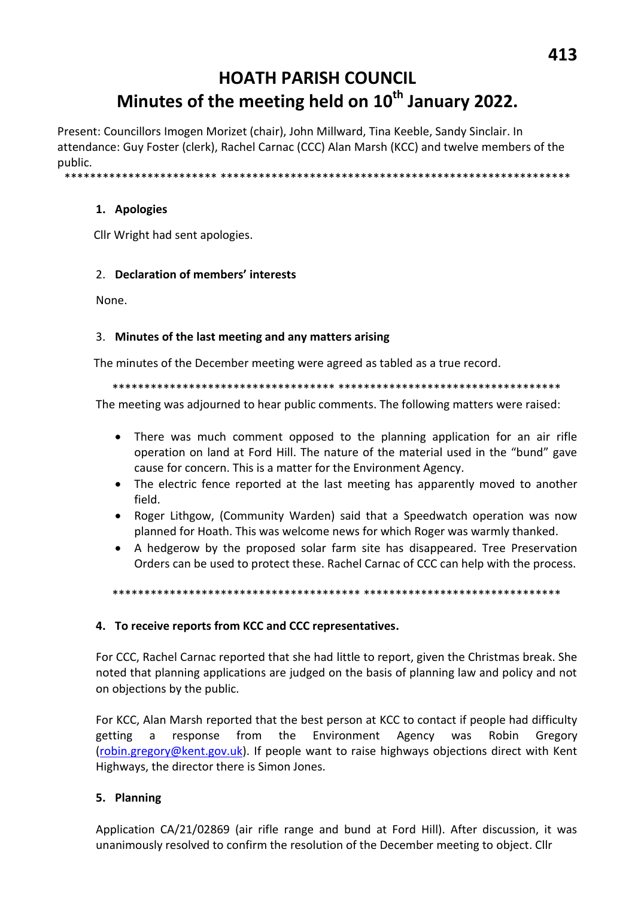# **HOATH PARISH COUNCIL** Minutes of the meeting held on 10<sup>th</sup> January 2022.

Present: Councillors Imogen Morizet (chair), John Millward, Tina Keeble, Sandy Sinclair. In attendance: Guy Foster (clerk), Rachel Carnac (CCC) Alan Marsh (KCC) and twelve members of the nublic.

\*\*\*\*\*\*\*\*\*\*\*\*\*\*\*\*\*\*\*\*

#### 1. Apologies

Cllr Wright had sent apologies.

#### 2. Declaration of members' interests

None.

#### 3. Minutes of the last meeting and any matters arising

The minutes of the December meeting were agreed as tabled as a true record.

The meeting was adjourned to hear public comments. The following matters were raised:

- There was much comment opposed to the planning application for an air rifle operation on land at Ford Hill. The nature of the material used in the "bund" gave cause for concern. This is a matter for the Environment Agency.
- The electric fence reported at the last meeting has apparently moved to another field.
- Roger Lithgow, (Community Warden) said that a Speedwatch operation was now  $\bullet$ planned for Hoath. This was welcome news for which Roger was warmly thanked.
- A hedgerow by the proposed solar farm site has disappeared. Tree Preservation Orders can be used to protect these. Rachel Carnac of CCC can help with the process.

## 4. To receive reports from KCC and CCC representatives.

For CCC, Rachel Carnac reported that she had little to report, given the Christmas break. She noted that planning applications are judged on the basis of planning law and policy and not on objections by the public.

For KCC, Alan Marsh reported that the best person at KCC to contact if people had difficulty from the Environment getting  $\mathsf{a}$ response Agency was Robin Gregory (robin.gregory@kent.gov.uk). If people want to raise highways objections direct with Kent Highways, the director there is Simon Jones.

## 5. Planning

Application CA/21/02869 (air rifle range and bund at Ford Hill). After discussion, it was unanimously resolved to confirm the resolution of the December meeting to object. Cllr